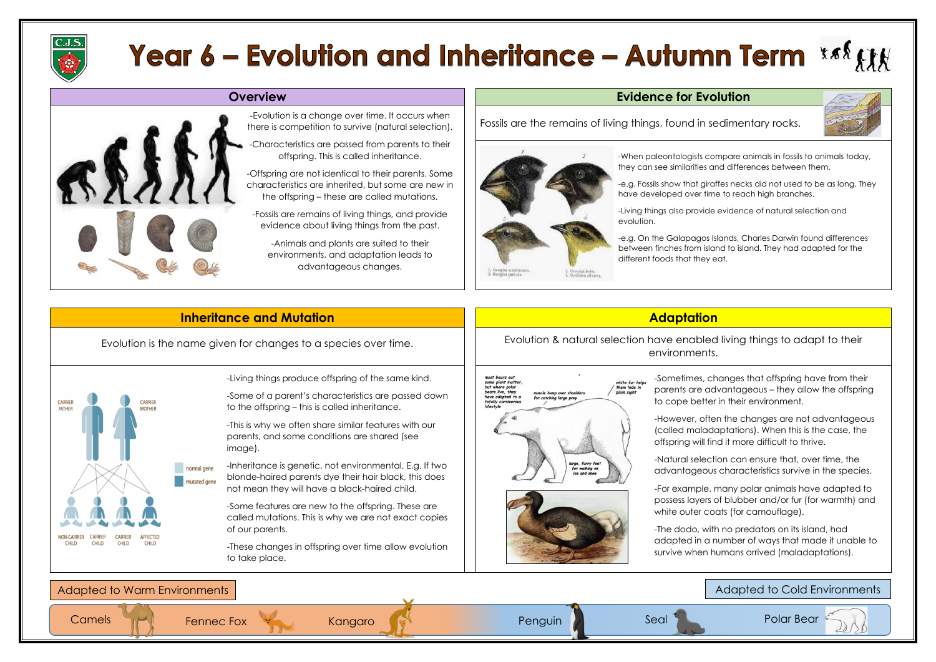

# **Year 6 – Evolution and Inheritance – Autumn Term \*\*\***  $\mathbf{f}$  $\mathbf{f}$



## **Overview Evidence for Evolution**

Fossils are the remains of living things, found in sedimentary rocks.





Polar Bear



### Adapted to Cold Environments

### -Evolution is a change over time. It occurs when there is competition to survive (natural selection).

-Characteristics are passed from parents to their offspring. This is called inheritance.

-Offspring are not identical to their parents. Some characteristics are inherited, but some are new in the offspring – these are called mutations.

-Fossils are remains of living things, and provide evidence about living things from the past.

-Animals and plants are suited to their environments, and adaptation leads to advantageous changes.

-When paleontologists compare animals in fossils to animals today, they can see similarities and differences between them.

-e.g. Fossils show that giraffes necks did not used to be as long. They have developed over time to reach high branches.

> -For example, many polar animals have adapted to possess layers of blubber and/or fur (for warmth) and white outer coats (for camouflage).

-Living things also provide evidence of natural selection and evolution.

-e.g. On the Galapagos Islands, Charles Darwin found differences between finches from island to island. They had adapted for the different foods that they eat.

> -Sometimes, changes that offspring have from their parents are advantageous – they allow the offspring to cope better in their environment.

> -However, often the changes are not advantageous (called maladaptations). When this is the case, the offspring will find it more difficult to thrive.

-Natural selection can ensure that, over time, the advantageous characteristics survive in the species.

-The dodo, with no predators on its island, had adapted in a number of ways that made it unable to survive when humans arrived (maladaptations).